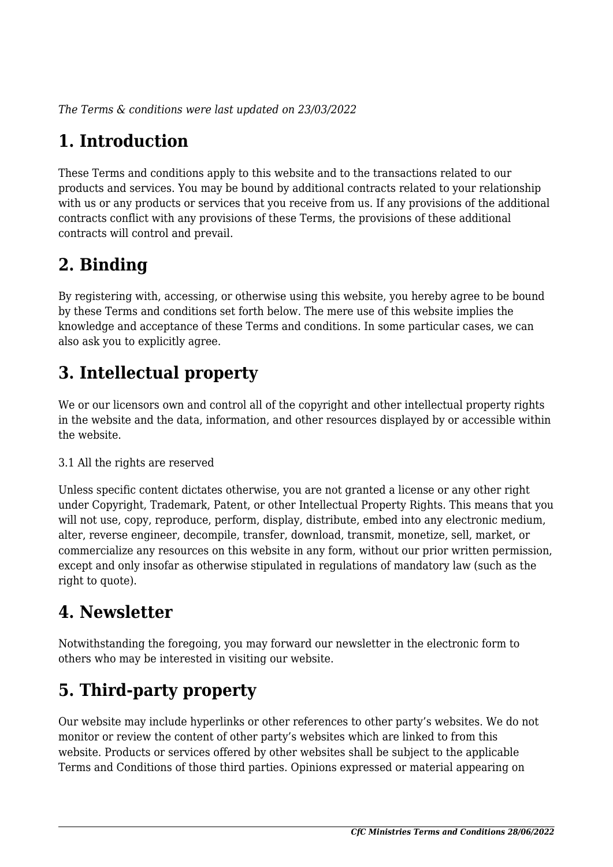*The Terms & conditions were last updated on 23/03/2022*

# **1. Introduction**

These Terms and conditions apply to this website and to the transactions related to our products and services. You may be bound by additional contracts related to your relationship with us or any products or services that you receive from us. If any provisions of the additional contracts conflict with any provisions of these Terms, the provisions of these additional contracts will control and prevail.

# **2. Binding**

By registering with, accessing, or otherwise using this website, you hereby agree to be bound by these Terms and conditions set forth below. The mere use of this website implies the knowledge and acceptance of these Terms and conditions. In some particular cases, we can also ask you to explicitly agree.

# **3. Intellectual property**

We or our licensors own and control all of the copyright and other intellectual property rights in the website and the data, information, and other resources displayed by or accessible within the website.

#### 3.1 All the rights are reserved

Unless specific content dictates otherwise, you are not granted a license or any other right under Copyright, Trademark, Patent, or other Intellectual Property Rights. This means that you will not use, copy, reproduce, perform, display, distribute, embed into any electronic medium, alter, reverse engineer, decompile, transfer, download, transmit, monetize, sell, market, or commercialize any resources on this website in any form, without our prior written permission, except and only insofar as otherwise stipulated in regulations of mandatory law (such as the right to quote).

## **4. Newsletter**

Notwithstanding the foregoing, you may forward our newsletter in the electronic form to others who may be interested in visiting our website.

# **5. Third-party property**

Our website may include hyperlinks or other references to other party's websites. We do not monitor or review the content of other party's websites which are linked to from this website. Products or services offered by other websites shall be subject to the applicable Terms and Conditions of those third parties. Opinions expressed or material appearing on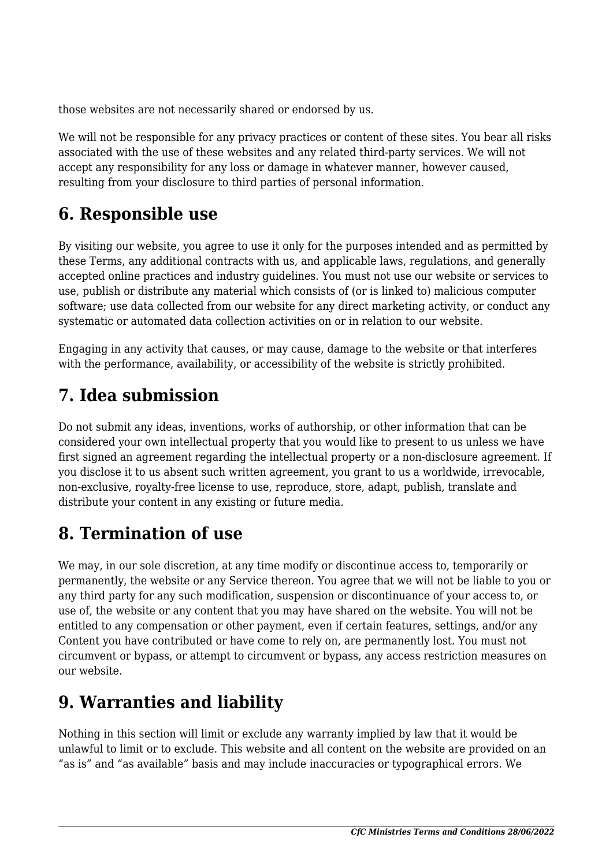those websites are not necessarily shared or endorsed by us.

We will not be responsible for any privacy practices or content of these sites. You bear all risks associated with the use of these websites and any related third-party services. We will not accept any responsibility for any loss or damage in whatever manner, however caused, resulting from your disclosure to third parties of personal information.

### **6. Responsible use**

By visiting our website, you agree to use it only for the purposes intended and as permitted by these Terms, any additional contracts with us, and applicable laws, regulations, and generally accepted online practices and industry guidelines. You must not use our website or services to use, publish or distribute any material which consists of (or is linked to) malicious computer software; use data collected from our website for any direct marketing activity, or conduct any systematic or automated data collection activities on or in relation to our website.

Engaging in any activity that causes, or may cause, damage to the website or that interferes with the performance, availability, or accessibility of the website is strictly prohibited.

# **7. Idea submission**

Do not submit any ideas, inventions, works of authorship, or other information that can be considered your own intellectual property that you would like to present to us unless we have first signed an agreement regarding the intellectual property or a non-disclosure agreement. If you disclose it to us absent such written agreement, you grant to us a worldwide, irrevocable, non-exclusive, royalty-free license to use, reproduce, store, adapt, publish, translate and distribute your content in any existing or future media.

### **8. Termination of use**

We may, in our sole discretion, at any time modify or discontinue access to, temporarily or permanently, the website or any Service thereon. You agree that we will not be liable to you or any third party for any such modification, suspension or discontinuance of your access to, or use of, the website or any content that you may have shared on the website. You will not be entitled to any compensation or other payment, even if certain features, settings, and/or any Content you have contributed or have come to rely on, are permanently lost. You must not circumvent or bypass, or attempt to circumvent or bypass, any access restriction measures on our website.

## **9. Warranties and liability**

Nothing in this section will limit or exclude any warranty implied by law that it would be unlawful to limit or to exclude. This website and all content on the website are provided on an "as is" and "as available" basis and may include inaccuracies or typographical errors. We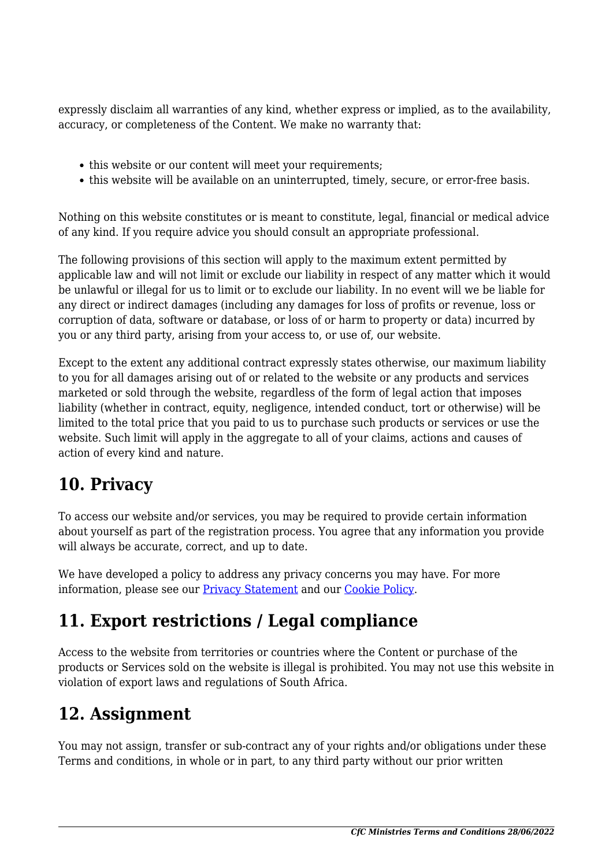expressly disclaim all warranties of any kind, whether express or implied, as to the availability, accuracy, or completeness of the Content. We make no warranty that:

- this website or our content will meet your requirements;
- this website will be available on an uninterrupted, timely, secure, or error-free basis.

Nothing on this website constitutes or is meant to constitute, legal, financial or medical advice of any kind. If you require advice you should consult an appropriate professional.

The following provisions of this section will apply to the maximum extent permitted by applicable law and will not limit or exclude our liability in respect of any matter which it would be unlawful or illegal for us to limit or to exclude our liability. In no event will we be liable for any direct or indirect damages (including any damages for loss of profits or revenue, loss or corruption of data, software or database, or loss of or harm to property or data) incurred by you or any third party, arising from your access to, or use of, our website.

Except to the extent any additional contract expressly states otherwise, our maximum liability to you for all damages arising out of or related to the website or any products and services marketed or sold through the website, regardless of the form of legal action that imposes liability (whether in contract, equity, negligence, intended conduct, tort or otherwise) will be limited to the total price that you paid to us to purchase such products or services or use the website. Such limit will apply in the aggregate to all of your claims, actions and causes of action of every kind and nature.

#### **10. Privacy**

To access our website and/or services, you may be required to provide certain information about yourself as part of the registration process. You agree that any information you provide will always be accurate, correct, and up to date.

We have developed a policy to address any privacy concerns you may have. For more information, please see our Privacy Statement and our [Cookie Policy](https://cfcm.co.za/cookie-policy-za/).

### **11. Export restrictions / Legal compliance**

Access to the website from territories or countries where the Content or purchase of the products or Services sold on the website is illegal is prohibited. You may not use this website in violation of export laws and regulations of South Africa.

#### **12. Assignment**

You may not assign, transfer or sub-contract any of your rights and/or obligations under these Terms and conditions, in whole or in part, to any third party without our prior written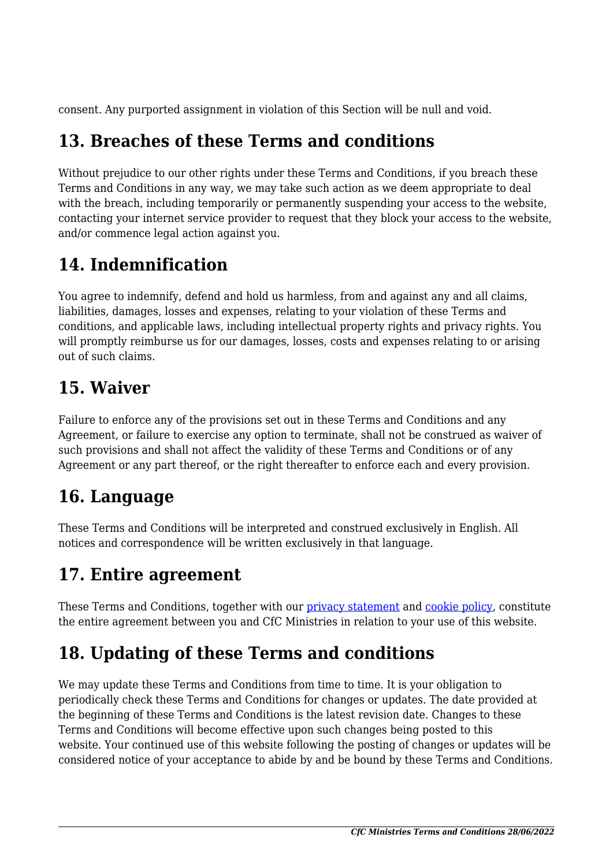consent. Any purported assignment in violation of this Section will be null and void.

### **13. Breaches of these Terms and conditions**

Without prejudice to our other rights under these Terms and Conditions, if you breach these Terms and Conditions in any way, we may take such action as we deem appropriate to deal with the breach, including temporarily or permanently suspending your access to the website, contacting your internet service provider to request that they block your access to the website, and/or commence legal action against you.

### **14. Indemnification**

You agree to indemnify, defend and hold us harmless, from and against any and all claims, liabilities, damages, losses and expenses, relating to your violation of these Terms and conditions, and applicable laws, including intellectual property rights and privacy rights. You will promptly reimburse us for our damages, losses, costs and expenses relating to or arising out of such claims.

### **15. Waiver**

Failure to enforce any of the provisions set out in these Terms and Conditions and any Agreement, or failure to exercise any option to terminate, shall not be construed as waiver of such provisions and shall not affect the validity of these Terms and Conditions or of any Agreement or any part thereof, or the right thereafter to enforce each and every provision.

## **16. Language**

These Terms and Conditions will be interpreted and construed exclusively in English. All notices and correspondence will be written exclusively in that language.

## **17. Entire agreement**

These Terms and Conditions, together with our privacy statement and [cookie policy,](https://cfcm.co.za/cookie-policy-za/) constitute the entire agreement between you and CfC Ministries in relation to your use of this website.

## **18. Updating of these Terms and conditions**

We may update these Terms and Conditions from time to time. It is your obligation to periodically check these Terms and Conditions for changes or updates. The date provided at the beginning of these Terms and Conditions is the latest revision date. Changes to these Terms and Conditions will become effective upon such changes being posted to this website. Your continued use of this website following the posting of changes or updates will be considered notice of your acceptance to abide by and be bound by these Terms and Conditions.